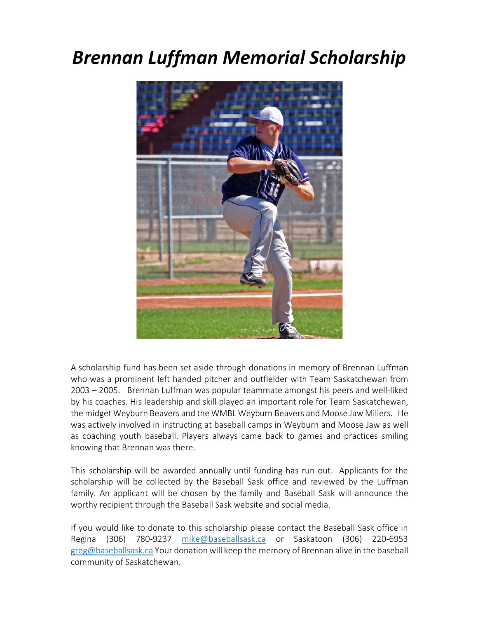## *Brennan Luffman Memorial Scholarship*



A scholarship fund has been set aside through donations in memory of Brennan Luffman who was a prominent left handed pitcher and outfielder with Team Saskatchewan from 2003 – 2005. Brennan Luffman was popular teammate amongst his peers and well-liked by his coaches. His leadership and skill played an important role for Team Saskatchewan, the midget Weyburn Beavers and the WMBL Weyburn Beavers and Moose Jaw Millers. He was actively involved in instructing at baseball camps in Weyburn and Moose Jaw as well as coaching youth baseball. Players always came back to games and practices smiling knowing that Brennan was there.

This scholarship will be awarded annually until funding has run out. Applicants for the scholarship will be collected by the Baseball Sask office and reviewed by the Luffman family. An applicant will be chosen by the family and Baseball Sask will announce the worthy recipient through the Baseball Sask website and social media.

If you would like to donate to this scholarship please contact the Baseball Sask office in Regina (306) 780-9237 mike@baseballsask.ca or Saskatoon (306) 220-6953 greg@baseballsask.ca Your donation will keep the memory of Brennan alive in the baseball community of Saskatchewan.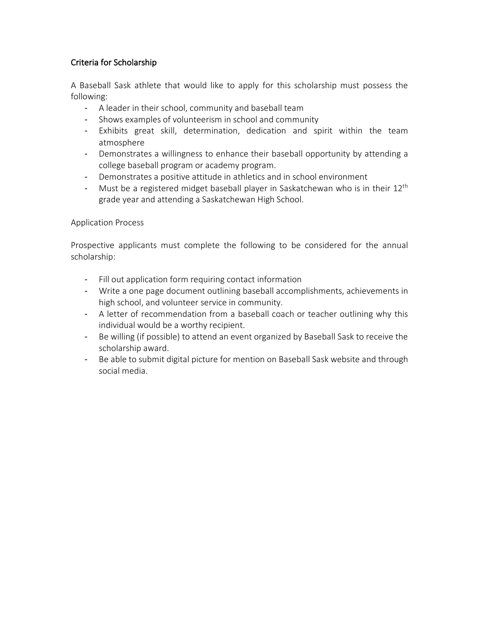## Criteria for Scholarship

A Baseball Sask athlete that would like to apply for this scholarship must possess the following:

- A leader in their school, community and baseball team
- Shows examples of volunteerism in school and community
- Exhibits great skill, determination, dedication and spirit within the team atmosphere
- Demonstrates a willingness to enhance their baseball opportunity by attending a college baseball program or academy program.
- Demonstrates a positive attitude in athletics and in school environment
- Must be a registered midget baseball player in Saskatchewan who is in their  $12<sup>th</sup>$ grade year and attending a Saskatchewan High School.

## Application Process

Prospective applicants must complete the following to be considered for the annual scholarship:

- Fill out application form requiring contact information
- Write a one page document outlining baseball accomplishments, achievements in high school, and volunteer service in community.
- A letter of recommendation from a baseball coach or teacher outlining why this individual would be a worthy recipient.
- Be willing (if possible) to attend an event organized by Baseball Sask to receive the scholarship award.
- Be able to submit digital picture for mention on Baseball Sask website and through social media.